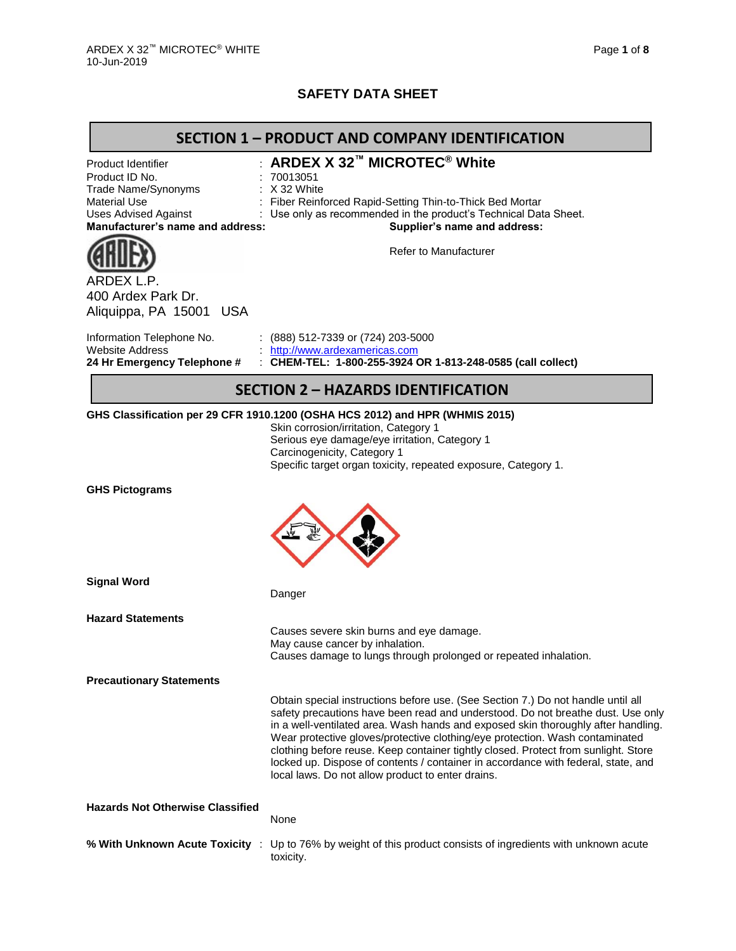# **SAFETY DATA SHEET**

| <b>SECTION 1 - PRODUCT AND COMPANY IDENTIFICATION</b>                                                                                                 |                                                                                                                                                                                                                                                                                                                                                                                                                                                                                                                                                                          |  |  |  |  |
|-------------------------------------------------------------------------------------------------------------------------------------------------------|--------------------------------------------------------------------------------------------------------------------------------------------------------------------------------------------------------------------------------------------------------------------------------------------------------------------------------------------------------------------------------------------------------------------------------------------------------------------------------------------------------------------------------------------------------------------------|--|--|--|--|
| Product Identifier<br>Product ID No.<br>Trade Name/Synonyms<br><b>Material Use</b><br><b>Uses Advised Against</b><br>Manufacturer's name and address: | <b>ARDEX X 32™ MICROTEC® White</b><br>: 70013051<br>$: X32$ White<br>Fiber Reinforced Rapid-Setting Thin-to-Thick Bed Mortar<br>Use only as recommended in the product's Technical Data Sheet.<br>Supplier's name and address:                                                                                                                                                                                                                                                                                                                                           |  |  |  |  |
| ARDEX L.P.<br>400 Ardex Park Dr.<br>Aliquippa, PA 15001 USA                                                                                           | <b>Refer to Manufacturer</b>                                                                                                                                                                                                                                                                                                                                                                                                                                                                                                                                             |  |  |  |  |
| Information Telephone No.<br><b>Website Address</b><br>24 Hr Emergency Telephone #                                                                    | : $(888)$ 512-7339 or $(724)$ 203-5000<br>http://www.ardexamericas.com<br>: CHEM-TEL: 1-800-255-3924 OR 1-813-248-0585 (call collect)                                                                                                                                                                                                                                                                                                                                                                                                                                    |  |  |  |  |
|                                                                                                                                                       | <b>SECTION 2 - HAZARDS IDENTIFICATION</b>                                                                                                                                                                                                                                                                                                                                                                                                                                                                                                                                |  |  |  |  |
|                                                                                                                                                       | GHS Classification per 29 CFR 1910.1200 (OSHA HCS 2012) and HPR (WHMIS 2015)<br>Skin corrosion/irritation, Category 1<br>Serious eye damage/eye irritation, Category 1<br>Carcinogenicity, Category 1<br>Specific target organ toxicity, repeated exposure, Category 1.                                                                                                                                                                                                                                                                                                  |  |  |  |  |
| <b>GHS Pictograms</b>                                                                                                                                 |                                                                                                                                                                                                                                                                                                                                                                                                                                                                                                                                                                          |  |  |  |  |
| <b>Signal Word</b>                                                                                                                                    | Danger                                                                                                                                                                                                                                                                                                                                                                                                                                                                                                                                                                   |  |  |  |  |
| <b>Hazard Statements</b>                                                                                                                              | Causes severe skin burns and eye damage.<br>May cause cancer by inhalation.<br>Causes damage to lungs through prolonged or repeated inhalation.                                                                                                                                                                                                                                                                                                                                                                                                                          |  |  |  |  |
| <b>Precautionary Statements</b>                                                                                                                       |                                                                                                                                                                                                                                                                                                                                                                                                                                                                                                                                                                          |  |  |  |  |
|                                                                                                                                                       | Obtain special instructions before use. (See Section 7.) Do not handle until all<br>safety precautions have been read and understood. Do not breathe dust. Use only<br>in a well-ventilated area. Wash hands and exposed skin thoroughly after handling.<br>Wear protective gloves/protective clothing/eye protection. Wash contaminated<br>clothing before reuse. Keep container tightly closed. Protect from sunlight. Store<br>locked up. Dispose of contents / container in accordance with federal, state, and<br>local laws. Do not allow product to enter drains. |  |  |  |  |
| <b>Hazards Not Otherwise Classified</b>                                                                                                               | None                                                                                                                                                                                                                                                                                                                                                                                                                                                                                                                                                                     |  |  |  |  |
| % With Unknown Acute Toxicity :                                                                                                                       | Up to 76% by weight of this product consists of ingredients with unknown acute<br>toxicity.                                                                                                                                                                                                                                                                                                                                                                                                                                                                              |  |  |  |  |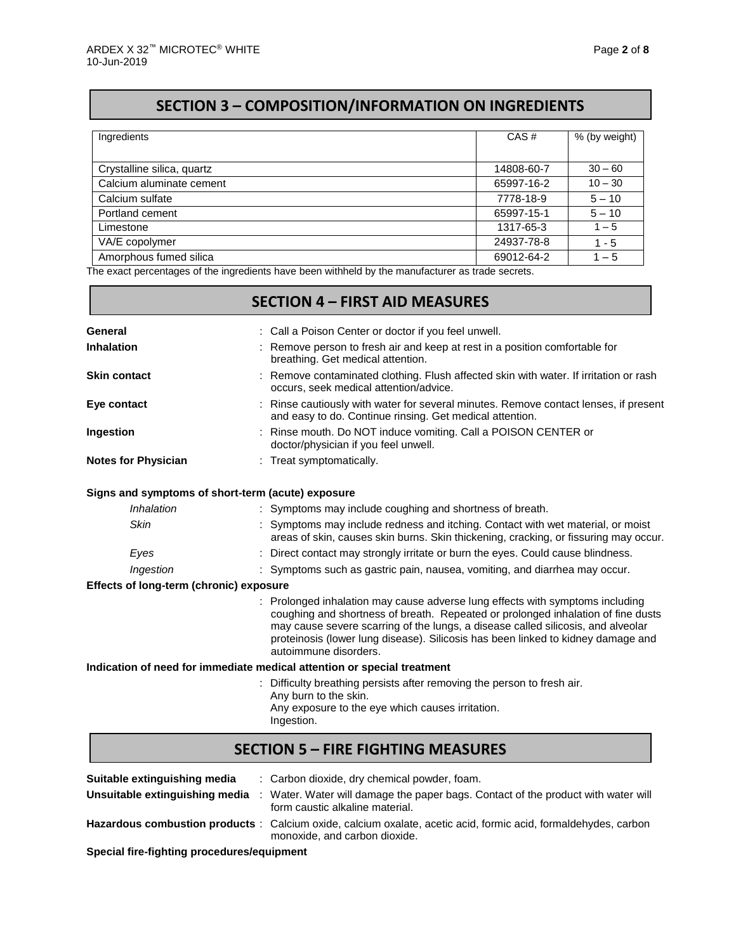# **SECTION 3 – COMPOSITION/INFORMATION ON INGREDIENTS**

| Ingredients                | CAS#       | % (by weight) |
|----------------------------|------------|---------------|
|                            |            |               |
| Crystalline silica, quartz | 14808-60-7 | $30 - 60$     |
| Calcium aluminate cement   | 65997-16-2 | $10 - 30$     |
| Calcium sulfate            | 7778-18-9  | $5 - 10$      |
| Portland cement            | 65997-15-1 | $5 - 10$      |
| Limestone                  | 1317-65-3  | $1 - 5$       |
| VA/E copolymer             | 24937-78-8 | $1 - 5$       |
| Amorphous fumed silica     | 69012-64-2 | $1 - 5$       |

The exact percentages of the ingredients have been withheld by the manufacturer as trade secrets.

| <b>SECTION 4 - FIRST AID MEASURES</b>   |                                                                                                                                                                                                                                                                                                                                                                    |  |  |  |  |  |
|-----------------------------------------|--------------------------------------------------------------------------------------------------------------------------------------------------------------------------------------------------------------------------------------------------------------------------------------------------------------------------------------------------------------------|--|--|--|--|--|
| General                                 | : Call a Poison Center or doctor if you feel unwell.                                                                                                                                                                                                                                                                                                               |  |  |  |  |  |
| <b>Inhalation</b>                       | Remove person to fresh air and keep at rest in a position comfortable for<br>breathing. Get medical attention.                                                                                                                                                                                                                                                     |  |  |  |  |  |
| <b>Skin contact</b>                     | : Remove contaminated clothing. Flush affected skin with water. If irritation or rash<br>occurs, seek medical attention/advice.                                                                                                                                                                                                                                    |  |  |  |  |  |
| Eye contact                             | Rinse cautiously with water for several minutes. Remove contact lenses, if present<br>and easy to do. Continue rinsing. Get medical attention.                                                                                                                                                                                                                     |  |  |  |  |  |
| Ingestion                               | : Rinse mouth. Do NOT induce vomiting. Call a POISON CENTER or<br>doctor/physician if you feel unwell.                                                                                                                                                                                                                                                             |  |  |  |  |  |
| <b>Notes for Physician</b>              | : Treat symptomatically.                                                                                                                                                                                                                                                                                                                                           |  |  |  |  |  |
|                                         | Signs and symptoms of short-term (acute) exposure                                                                                                                                                                                                                                                                                                                  |  |  |  |  |  |
| Inhalation                              | : Symptoms may include coughing and shortness of breath.                                                                                                                                                                                                                                                                                                           |  |  |  |  |  |
| <b>Skin</b>                             | : Symptoms may include redness and itching. Contact with wet material, or moist<br>areas of skin, causes skin burns. Skin thickening, cracking, or fissuring may occur.                                                                                                                                                                                            |  |  |  |  |  |
| Eyes                                    | : Direct contact may strongly irritate or burn the eyes. Could cause blindness.                                                                                                                                                                                                                                                                                    |  |  |  |  |  |
| Ingestion                               | : Symptoms such as gastric pain, nausea, vomiting, and diarrhea may occur.                                                                                                                                                                                                                                                                                         |  |  |  |  |  |
| Effects of long-term (chronic) exposure |                                                                                                                                                                                                                                                                                                                                                                    |  |  |  |  |  |
|                                         | : Prolonged inhalation may cause adverse lung effects with symptoms including<br>coughing and shortness of breath. Repeated or prolonged inhalation of fine dusts<br>may cause severe scarring of the lungs, a disease called silicosis, and alveolar<br>proteinosis (lower lung disease). Silicosis has been linked to kidney damage and<br>autoimmune disorders. |  |  |  |  |  |
|                                         | Indication of need for immediate medical attention or special treatment                                                                                                                                                                                                                                                                                            |  |  |  |  |  |
|                                         | : Difficulty breathing persists after removing the person to fresh air.<br>Any burn to the skin.<br>Any exposure to the eye which causes irritation.<br>Ingestion.                                                                                                                                                                                                 |  |  |  |  |  |
|                                         | <b>SECTION 5 - FIRE FIGHTING MEASURES</b>                                                                                                                                                                                                                                                                                                                          |  |  |  |  |  |

| Suitable extinguishing media | : Carbon dioxide, dry chemical powder, foam.<br>Unsuitable extinguishing media : Water. Water will damage the paper bags. Contact of the product with water will<br>form caustic alkaline material. |
|------------------------------|-----------------------------------------------------------------------------------------------------------------------------------------------------------------------------------------------------|
|                              | Hazardous combustion products: Calcium oxide, calcium oxalate, acetic acid, formic acid, formaldehydes, carbon<br>monoxide, and carbon dioxide.                                                     |

**Special fire-fighting procedures/equipment**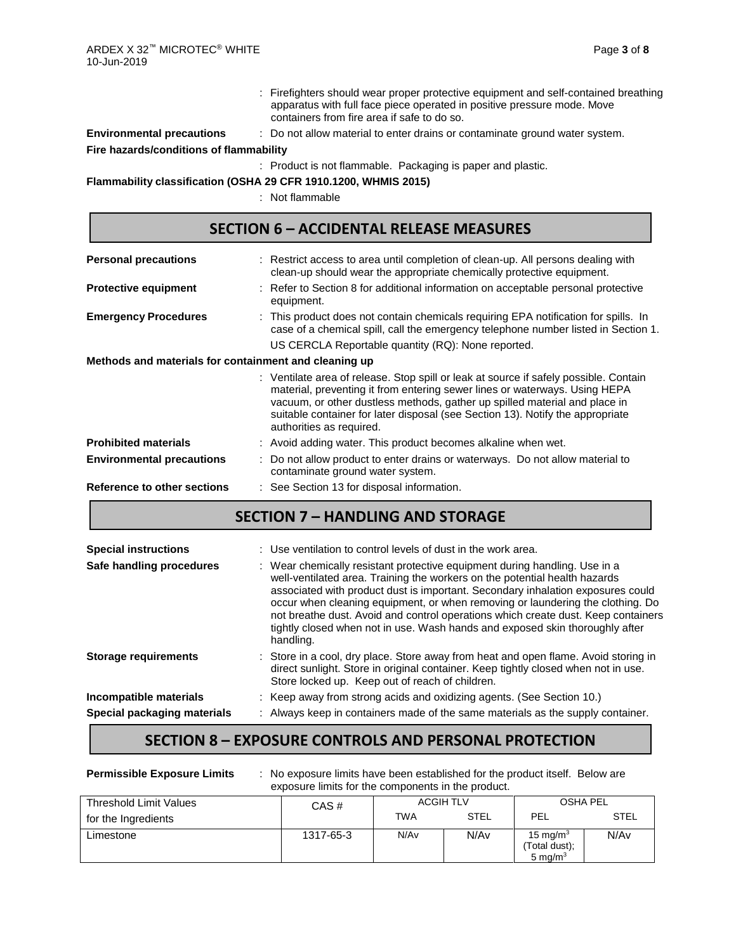- : Firefighters should wear proper protective equipment and self-contained breathing apparatus with full face piece operated in positive pressure mode. Move containers from fire area if safe to do so.
- **Environmental precautions** : Do not allow material to enter drains or contaminate ground water system. **Fire hazards/conditions of flammability**

: Product is not flammable. Packaging is paper and plastic.

**Flammability classification (OSHA 29 CFR 1910.1200, WHMIS 2015)**

: Not flammable

| <b>SECTION 6 - ACCIDENTAL RELEASE MEASURES</b>        |                                                                                                                                                                                                                                                                                                                                                                 |  |  |  |  |  |
|-------------------------------------------------------|-----------------------------------------------------------------------------------------------------------------------------------------------------------------------------------------------------------------------------------------------------------------------------------------------------------------------------------------------------------------|--|--|--|--|--|
| <b>Personal precautions</b>                           | : Restrict access to area until completion of clean-up. All persons dealing with<br>clean-up should wear the appropriate chemically protective equipment.                                                                                                                                                                                                       |  |  |  |  |  |
| <b>Protective equipment</b>                           | : Refer to Section 8 for additional information on acceptable personal protective<br>equipment.                                                                                                                                                                                                                                                                 |  |  |  |  |  |
| <b>Emergency Procedures</b>                           | : This product does not contain chemicals requiring EPA notification for spills. In<br>case of a chemical spill, call the emergency telephone number listed in Section 1.<br>US CERCLA Reportable quantity (RQ): None reported.                                                                                                                                 |  |  |  |  |  |
| Methods and materials for containment and cleaning up |                                                                                                                                                                                                                                                                                                                                                                 |  |  |  |  |  |
|                                                       | : Ventilate area of release. Stop spill or leak at source if safely possible. Contain<br>material, preventing it from entering sewer lines or waterways. Using HEPA<br>vacuum, or other dustless methods, gather up spilled material and place in<br>suitable container for later disposal (see Section 13). Notify the appropriate<br>authorities as required. |  |  |  |  |  |
| <b>Prohibited materials</b>                           | : Avoid adding water. This product becomes alkaline when wet.                                                                                                                                                                                                                                                                                                   |  |  |  |  |  |
| <b>Environmental precautions</b>                      | Do not allow product to enter drains or waterways. Do not allow material to<br>contaminate ground water system.                                                                                                                                                                                                                                                 |  |  |  |  |  |
| <b>Reference to other sections</b>                    | : See Section 13 for disposal information.                                                                                                                                                                                                                                                                                                                      |  |  |  |  |  |

## **SECTION 7 – HANDLING AND STORAGE**

| <b>Special instructions</b> | : Use ventilation to control levels of dust in the work area.                                                                                                                                                                                                                                                                                                                                                                                                                                                   |
|-----------------------------|-----------------------------------------------------------------------------------------------------------------------------------------------------------------------------------------------------------------------------------------------------------------------------------------------------------------------------------------------------------------------------------------------------------------------------------------------------------------------------------------------------------------|
| Safe handling procedures    | : Wear chemically resistant protective equipment during handling. Use in a<br>well-ventilated area. Training the workers on the potential health hazards<br>associated with product dust is important. Secondary inhalation exposures could<br>occur when cleaning equipment, or when removing or laundering the clothing. Do<br>not breathe dust. Avoid and control operations which create dust. Keep containers<br>tightly closed when not in use. Wash hands and exposed skin thoroughly after<br>handling. |
| <b>Storage requirements</b> | : Store in a cool, dry place. Store away from heat and open flame. Avoid storing in<br>direct sunlight. Store in original container. Keep tightly closed when not in use.<br>Store locked up. Keep out of reach of children.                                                                                                                                                                                                                                                                                    |
| Incompatible materials      | : Keep away from strong acids and oxidizing agents. (See Section 10.)                                                                                                                                                                                                                                                                                                                                                                                                                                           |
| Special packaging materials | : Always keep in containers made of the same materials as the supply container.                                                                                                                                                                                                                                                                                                                                                                                                                                 |

## **SECTION 8 – EXPOSURE CONTROLS AND PERSONAL PROTECTION**

| <b>Permissible Exposure Limits</b> | : No exposure limits have been established for the product itself. Below are<br>exposure limits for the components in the product. |                  |             |                                            |             |  |  |
|------------------------------------|------------------------------------------------------------------------------------------------------------------------------------|------------------|-------------|--------------------------------------------|-------------|--|--|
| Threshold Limit Values             | CAS#                                                                                                                               | <b>ACGIH TLV</b> |             | <b>OSHA PEL</b>                            |             |  |  |
| for the Ingredients                |                                                                                                                                    | <b>TWA</b>       | <b>STEL</b> | PEL                                        | <b>STEL</b> |  |  |
| Limestone                          | 1317-65-3                                                                                                                          | N/A <sub>v</sub> | N/Av        | 15 mg/m $3$<br>(Total dust);<br>5 mg/ $m3$ | N/Av        |  |  |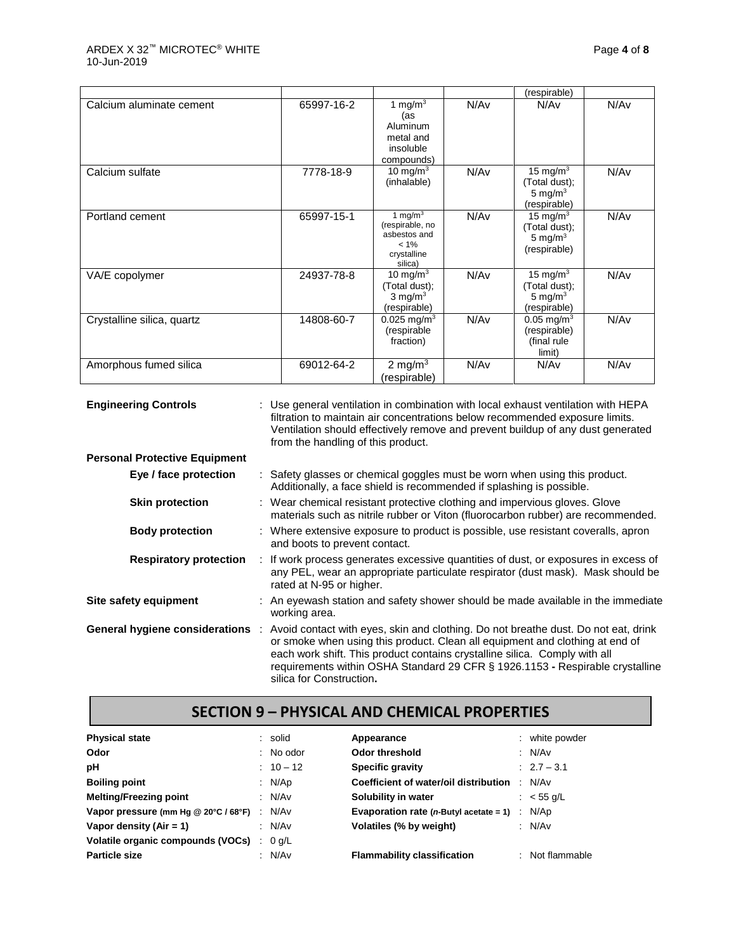|                            |            |                                                                                    |                  | (respirable)                                                        |      |
|----------------------------|------------|------------------------------------------------------------------------------------|------------------|---------------------------------------------------------------------|------|
| Calcium aluminate cement   | 65997-16-2 | 1 mg/m $3$<br>(as<br>Aluminum<br>metal and<br>insoluble<br>compounds)              | N/Av             | N/Av                                                                | N/Av |
| Calcium sulfate            | 7778-18-9  | 10 mg/m $3$<br>(inhalable)                                                         | N/Av             | 15 mg/m <sup>3</sup><br>(Total dust);<br>5 mg/m $3$<br>(respirable) | N/Av |
| Portland cement            | 65997-15-1 | 1 mg/m $3$<br>(respirable, no<br>asbestos and<br>$< 1\%$<br>crystalline<br>silica) | N/A <sub>v</sub> | 15 mg/m $3$<br>(Total dust);<br>5 mg/m $3$<br>(respirable)          | N/Av |
| VA/E copolymer             | 24937-78-8 | 10 mg/m $3$<br>(Total dust);<br>$3 \text{ mg/m}^3$<br>(respirable)                 | N/Av             | 15 mg/m <sup>3</sup><br>(Total dust);<br>5 mg/m $3$<br>(respirable) | N/Av |
| Crystalline silica, quartz | 14808-60-7 | $0.025$ mg/m <sup>3</sup><br>(respirable<br>fraction)                              | N/Av             | $0.05 \,\mathrm{mg/m^3}$<br>(respirable)<br>(final rule<br>limit)   | N/Av |
| Amorphous fumed silica     | 69012-64-2 | 2 mg/m $3$<br>(respirable)                                                         | N/Av             | N/Av                                                                | N/Av |

**Engineering Controls** : Use general ventilation in combination with local exhaust ventilation with HEPA filtration to maintain air concentrations below recommended exposure limits. Ventilation should effectively remove and prevent buildup of any dust generated from the handling of this product. **Personal Protective Equipment Eye / face protection** : Safety glasses or chemical goggles must be worn when using this product. Additionally, a face shield is recommended if splashing is possible. **Skin protection** : Wear chemical resistant protective clothing and impervious gloves. Glove materials such as nitrile rubber or Viton (fluorocarbon rubber) are recommended. **Body protection** : Where extensive exposure to product is possible, use resistant coveralls, apron and boots to prevent contact. **Respiratory protection** : If work process generates excessive quantities of dust, or exposures in excess of any PEL, wear an appropriate particulate respirator (dust mask). Mask should be rated at N-95 or higher. **Site safety equipment** : An eyewash station and safety shower should be made available in the immediate working area. **General hygiene considerations** : Avoid contact with eyes, skin and clothing. Do not breathe dust. Do not eat, drink or smoke when using this product. Clean all equipment and clothing at end of each work shift. This product contains crystalline silica. Comply with all requirements within OSHA Standard 29 CFR § 1926.1153 **-** Respirable crystalline silica for Construction**.**

### **SECTION 9 – PHYSICAL AND CHEMICAL PROPERTIES**

| <b>Physical state</b>                       | : solid     | Appearance                                                      | : white powder    |
|---------------------------------------------|-------------|-----------------------------------------------------------------|-------------------|
| Odor                                        | $:$ No odor | <b>Odor threshold</b>                                           | : N/Av            |
| рH                                          | $: 10 - 12$ | <b>Specific gravity</b>                                         | $: 2.7 - 3.1$     |
| <b>Boiling point</b>                        | : $N/Ap$    | <b>Coefficient of water/oil distribution : N/Av</b>             |                   |
| <b>Melting/Freezing point</b>               | : $N/Av$    | Solubility in water                                             | : $<$ 55 g/L      |
| Vapor pressure (mm Hg @ 20°C / 68°F) : N/Av |             | <b>Evaporation rate (n-Butyl acetate = 1)</b> $\therefore$ N/Ap |                   |
| Vapor density (Air = $1$ )                  | : N/Av      | Volatiles (% by weight)                                         | : N/Av            |
| Volatile organic compounds (VOCs) : 0 g/L   |             |                                                                 |                   |
| <b>Particle size</b>                        | : N/Av      | <b>Flammability classification</b>                              | $:$ Not flammable |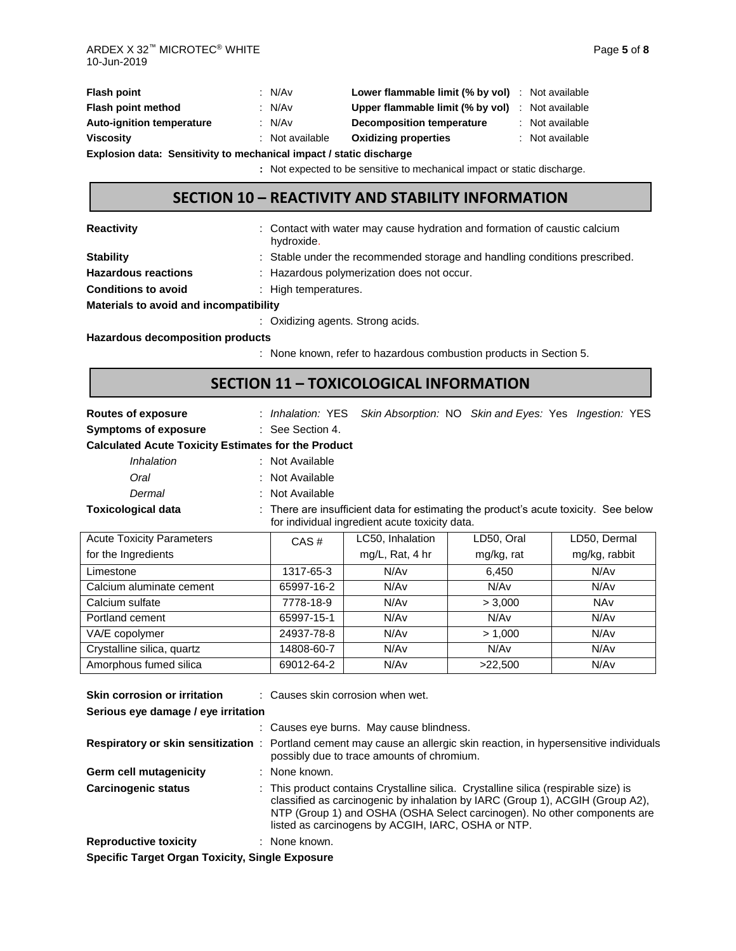| <b>Flash point</b>                                                  |  | : $N/Av$        | <b>Lower flammable limit (% by vol)</b> : Not available |  |                 |  |  |
|---------------------------------------------------------------------|--|-----------------|---------------------------------------------------------|--|-----------------|--|--|
| Flash point method                                                  |  | : $N/Av$        | <b>Upper flammable limit (% by vol)</b> : Not available |  |                 |  |  |
| <b>Auto-ignition temperature</b>                                    |  | : N/Av          | Decomposition temperature                               |  | : Not available |  |  |
| <b>Viscosity</b>                                                    |  | : Not available | <b>Oxidizing properties</b>                             |  | : Not available |  |  |
| Explosion data: Sensitivity to mechanical impact / static discharge |  |                 |                                                         |  |                 |  |  |

**:** Not expected to be sensitive to mechanical impact or static discharge.

## **SECTION 10 – REACTIVITY AND STABILITY INFORMATION**

**Reactivity Example 20 CONTER 12 CONTACT** water may cause hydration and formation of caustic calcium

|                            | hydroxide.                                                                 |
|----------------------------|----------------------------------------------------------------------------|
| <b>Stability</b>           | : Stable under the recommended storage and handling conditions prescribed. |
| <b>Hazardous reactions</b> | : Hazardous polymerization does not occur.                                 |
| <b>Conditions to avoid</b> | $\therefore$ High temperatures.                                            |

**Materials to avoid and incompatibility**

: Oxidizing agents. Strong acids.

**Hazardous decomposition products**

: None known, refer to hazardous combustion products in Section 5.

## **SECTION 11 – TOXICOLOGICAL INFORMATION**

**Routes of exposure** : *Inhalation:* YES *Skin Absorption:* NO *Skin and Eyes:* Yes *Ingestion:* YES

**Symptoms of exposure** : See Section 4.

#### **Calculated Acute Toxicity Estimates for the Product**

- *Inhalation* : Not Available
- *Oral* : Not Available
- *Dermal* : Not Available

**Toxicological data** : There are insufficient data for estimating the product's acute toxicity. See below for individual ingredient acute toxicity data.

| <b>Acute Toxicity Parameters</b> | CAS#       | LC50, Inhalation | LD50, Oral       | LD50, Dermal  |
|----------------------------------|------------|------------------|------------------|---------------|
| for the Ingredients              |            | mg/L, Rat, 4 hr  | mg/kg, rat       | mg/kg, rabbit |
| Limestone                        | 1317-65-3  | N/Av             | 6,450            | N/Av          |
| Calcium aluminate cement         | 65997-16-2 | N/Av             | N/Av             | N/Av          |
| Calcium sulfate                  | 7778-18-9  | N/Av             | > 3,000          | <b>NAv</b>    |
| Portland cement                  | 65997-15-1 | N/Av             | N/Av             | N/Av          |
| VA/E copolymer                   | 24937-78-8 | N/Av             | > 1.000          | N/Av          |
| Crystalline silica, quartz       | 14808-60-7 | N/Av             | N/A <sub>v</sub> | N/Av          |
| Amorphous fumed silica           | 69012-64-2 | N/Av             | >22,500          | N/Av          |

| Skin corrosion or irritation                           | : Causes skin corrosion when wet.                                                                                                                                                                                                                                                                      |  |  |  |  |  |  |
|--------------------------------------------------------|--------------------------------------------------------------------------------------------------------------------------------------------------------------------------------------------------------------------------------------------------------------------------------------------------------|--|--|--|--|--|--|
| Serious eye damage / eye irritation                    |                                                                                                                                                                                                                                                                                                        |  |  |  |  |  |  |
|                                                        | : Causes eye burns. May cause blindness.                                                                                                                                                                                                                                                               |  |  |  |  |  |  |
|                                                        | Respiratory or skin sensitization : Portland cement may cause an allergic skin reaction, in hypersensitive individuals<br>possibly due to trace amounts of chromium.                                                                                                                                   |  |  |  |  |  |  |
| <b>Germ cell mutagenicity</b>                          | : None known.                                                                                                                                                                                                                                                                                          |  |  |  |  |  |  |
| Carcinogenic status                                    | : This product contains Crystalline silica. Crystalline silica (respirable size) is<br>classified as carcinogenic by inhalation by IARC (Group 1), ACGIH (Group A2),<br>NTP (Group 1) and OSHA (OSHA Select carcinogen). No other components are<br>listed as carcinogens by ACGIH, IARC, OSHA or NTP. |  |  |  |  |  |  |
| <b>Reproductive toxicity</b>                           | : None known.                                                                                                                                                                                                                                                                                          |  |  |  |  |  |  |
| <b>Specific Target Organ Toxicity, Single Exposure</b> |                                                                                                                                                                                                                                                                                                        |  |  |  |  |  |  |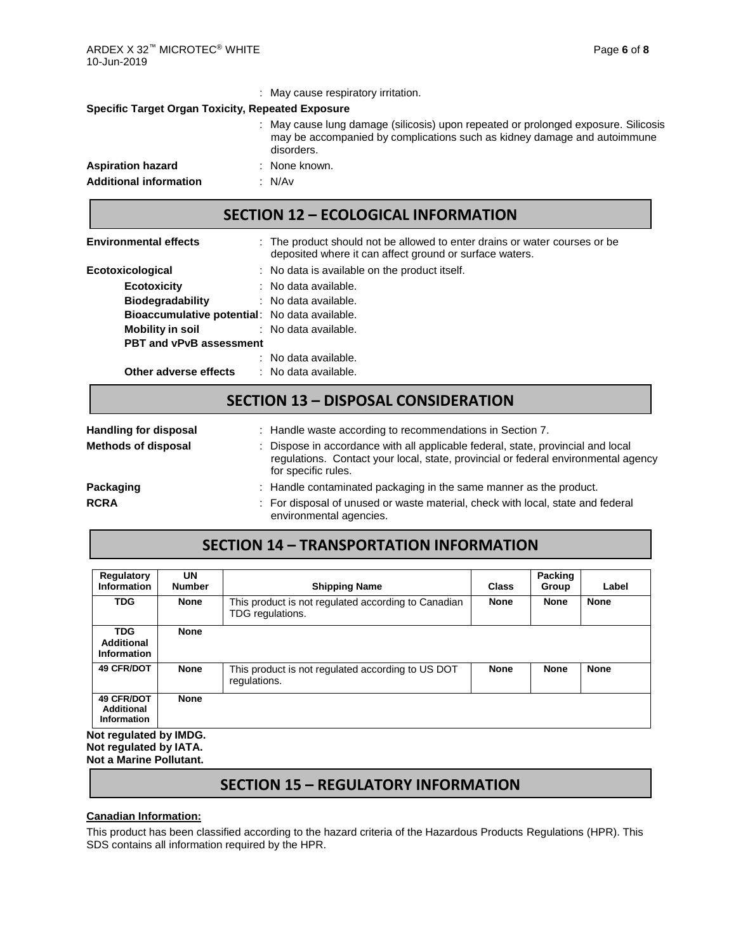|                                                          | : May cause respiratory irritation.                                                                                                                                          |  |  |  |  |  |  |
|----------------------------------------------------------|------------------------------------------------------------------------------------------------------------------------------------------------------------------------------|--|--|--|--|--|--|
| <b>Specific Target Organ Toxicity, Repeated Exposure</b> |                                                                                                                                                                              |  |  |  |  |  |  |
|                                                          | : May cause lung damage (silicosis) upon repeated or prolonged exposure. Silicosis<br>may be accompanied by complications such as kidney damage and autoimmune<br>disorders. |  |  |  |  |  |  |
| <b>Aspiration hazard</b>                                 | : None known.                                                                                                                                                                |  |  |  |  |  |  |
| <b>Additional information</b>                            | : N/Av                                                                                                                                                                       |  |  |  |  |  |  |

#### **SECTION 12 – ECOLOGICAL INFORMATION**

| <b>Environmental effects</b>                         | : The product should not be allowed to enter drains or water courses or be<br>deposited where it can affect ground or surface waters. |  |  |  |  |  |
|------------------------------------------------------|---------------------------------------------------------------------------------------------------------------------------------------|--|--|--|--|--|
| Ecotoxicological                                     | : No data is available on the product itself.                                                                                         |  |  |  |  |  |
| <b>Ecotoxicity</b>                                   | : No data available.                                                                                                                  |  |  |  |  |  |
| <b>Biodegradability</b>                              | : No data available.                                                                                                                  |  |  |  |  |  |
| <b>Bioaccumulative potential:</b> No data available. |                                                                                                                                       |  |  |  |  |  |
| Mobility in soil                                     | : No data available.                                                                                                                  |  |  |  |  |  |
| <b>PBT and vPvB assessment</b>                       |                                                                                                                                       |  |  |  |  |  |
|                                                      | : No data available.                                                                                                                  |  |  |  |  |  |
| Other adverse effects                                | : No data available.                                                                                                                  |  |  |  |  |  |

## **SECTION 13 – DISPOSAL CONSIDERATION**

| <b>Handling for disposal</b> | : Handle waste according to recommendations in Section 7.                                                                                                                                     |
|------------------------------|-----------------------------------------------------------------------------------------------------------------------------------------------------------------------------------------------|
| <b>Methods of disposal</b>   | : Dispose in accordance with all applicable federal, state, provincial and local<br>regulations. Contact your local, state, provincial or federal environmental agency<br>for specific rules. |
| Packaging                    | : Handle contaminated packaging in the same manner as the product.                                                                                                                            |
| <b>RCRA</b>                  | : For disposal of unused or waste material, check with local, state and federal<br>environmental agencies.                                                                                    |

# **SECTION 14 – TRANSPORTATION INFORMATION**

| Regulatory<br><b>Information</b>                      | UN<br><b>Number</b> | <b>Shipping Name</b>                                                    | Packing<br>Class<br>Group |             |             |  |
|-------------------------------------------------------|---------------------|-------------------------------------------------------------------------|---------------------------|-------------|-------------|--|
| <b>TDG</b>                                            | <b>None</b>         | This product is not regulated according to Canadian<br>TDG regulations. | <b>None</b>               | <b>None</b> | <b>None</b> |  |
| <b>TDG</b><br>Additional<br>Information               | <b>None</b>         |                                                                         |                           |             |             |  |
| <b>49 CFR/DOT</b>                                     | <b>None</b>         | This product is not regulated according to US DOT<br>regulations.       | <b>None</b>               | <b>None</b> | <b>None</b> |  |
| <b>49 CFR/DOT</b><br>Additional<br><b>Information</b> | <b>None</b>         |                                                                         |                           |             |             |  |
| <b>Not requiated by IMDG.</b>                         |                     |                                                                         |                           |             |             |  |

**Not regulated by IMDG. Not regulated by IATA. Not a Marine Pollutant.**

### **SECTION 15 – REGULATORY INFORMATION**

#### **Canadian Information:**

This product has been classified according to the hazard criteria of the Hazardous Products Regulations (HPR). This SDS contains all information required by the HPR.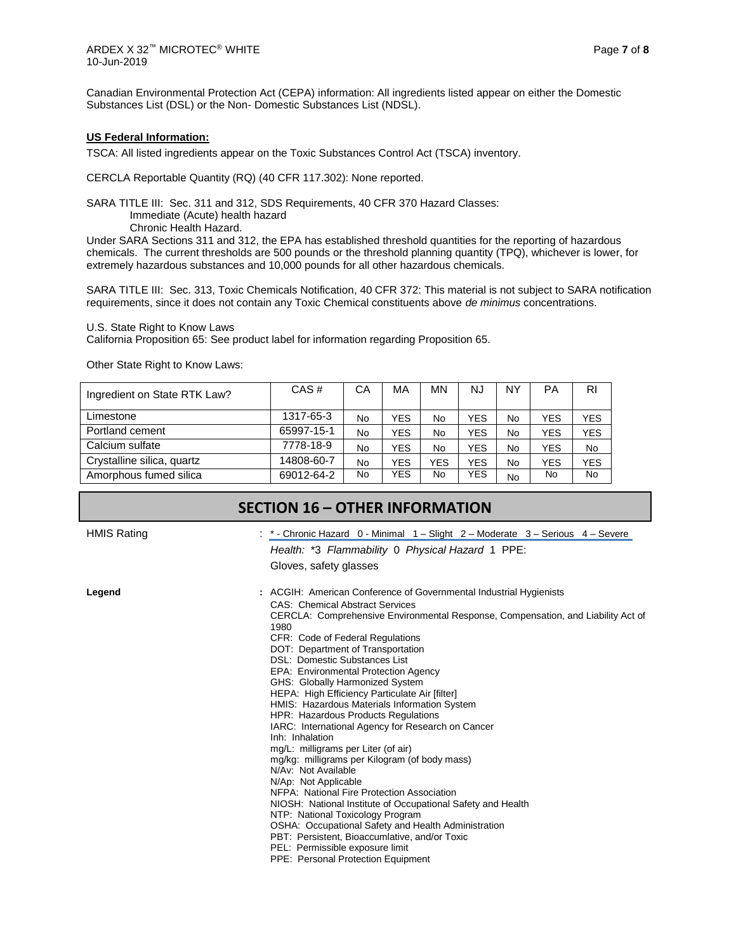Canadian Environmental Protection Act (CEPA) information: All ingredients listed appear on either the Domestic Substances List (DSL) or the Non- Domestic Substances List (NDSL).

#### **US Federal Information:**

TSCA: All listed ingredients appear on the Toxic Substances Control Act (TSCA) inventory.

CERCLA Reportable Quantity (RQ) (40 CFR 117.302): None reported.

SARA TITLE III: Sec. 311 and 312, SDS Requirements, 40 CFR 370 Hazard Classes:

Immediate (Acute) health hazard

Chronic Health Hazard.

Under SARA Sections 311 and 312, the EPA has established threshold quantities for the reporting of hazardous chemicals. The current thresholds are 500 pounds or the threshold planning quantity (TPQ), whichever is lower, for extremely hazardous substances and 10,000 pounds for all other hazardous chemicals.

SARA TITLE III: Sec. 313, Toxic Chemicals Notification, 40 CFR 372: This material is not subject to SARA notification requirements, since it does not contain any Toxic Chemical constituents above *de minimus* concentrations.

U.S. State Right to Know Laws

California Proposition 65: See product label for information regarding Proposition 65.

Other State Right to Know Laws:

| Ingredient on State RTK Law? | CAS#       | СA        | MA         | MΝ  | NJ         | NΥ | PA         | <b>RI</b>  |
|------------------------------|------------|-----------|------------|-----|------------|----|------------|------------|
| Limestone                    | 1317-65-3  | No        | <b>YES</b> | No  | YES        | No | <b>YES</b> | YES        |
| Portland cement              | 65997-15-1 | <b>No</b> | <b>YES</b> | No  | YES        | No | <b>YES</b> | <b>YES</b> |
| Calcium sulfate              | 7778-18-9  | No        | <b>YES</b> | No  | YES        | No | <b>YES</b> | <b>No</b>  |
| Crystalline silica, quartz   | 14808-60-7 | <b>No</b> | <b>YES</b> | YES | YES        | No | <b>YES</b> | <b>YES</b> |
| Amorphous fumed silica       | 69012-64-2 | No        | <b>YES</b> | No  | <b>YES</b> | No | No.        | <b>No</b>  |

### **SECTION 16 – OTHER INFORMATION**

HMIS Rating The Serious 4 – Severe : \* - Chronic Hazard 0 - Minimal 1 – Slight 2 – Moderate 3 – Serious 4 – Severe *Health:* \*3 *Flammability* 0 *Physical Hazard* 1 PPE:

Gloves, safety glasses

**Legend :** ACGIH: American Conference of Governmental Industrial Hygienists CAS: Chemical Abstract Services CERCLA: Comprehensive Environmental Response, Compensation, and Liability Act of 1980 CFR: Code of Federal Regulations DOT: Department of Transportation DSL: Domestic Substances List EPA: Environmental Protection Agency GHS: Globally Harmonized System HEPA: High Efficiency Particulate Air [filter] HMIS: Hazardous Materials Information System HPR: Hazardous Products Regulations IARC: International Agency for Research on Cancer Inh: Inhalation mg/L: milligrams per Liter (of air) mg/kg: milligrams per Kilogram (of body mass) N/Av: Not Available N/Ap: Not Applicable NFPA: National Fire Protection Association NIOSH: National Institute of Occupational Safety and Health NTP: National Toxicology Program OSHA: Occupational Safety and Health Administration PBT: Persistent, Bioaccumlative, and/or Toxic PEL: Permissible exposure limit PPE: Personal Protection Equipment